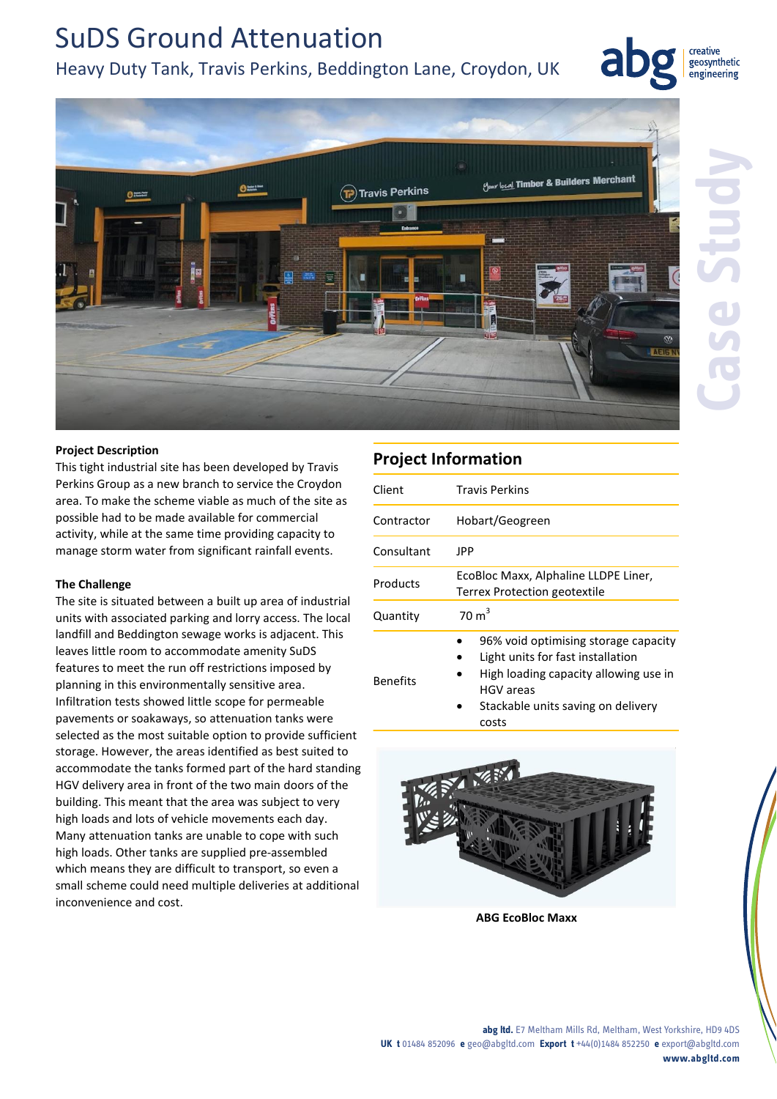# SuDS Ground Attenuation Heavy Duty Tank, Travis Perkins, Beddington Lane, Croydon, UK



creative geosynthetic engineering



## **Project Description**

This tight industrial site has been developed by Travis Perkins Group as a new branch to service the Croydon area. To make the scheme viable as much of the site as possible had to be made available for commercial activity, while at the same time providing capacity to manage storm water from significant rainfall events.

## **The Challenge**

The site is situated between a built up area of industrial units with associated parking and lorry access. The local landfill and Beddington sewage works is adjacent. This leaves little room to accommodate amenity SuDS features to meet the run off restrictions imposed by planning in this environmentally sensitive area. Infiltration tests showed little scope for permeable pavements or soakaways, so attenuation tanks were selected as the most suitable option to provide sufficient storage. However, the areas identified as best suited to accommodate the tanks formed part of the hard standing HGV delivery area in front of the two main doors of the building. This meant that the area was subject to very high loads and lots of vehicle movements each day. Many attenuation tanks are unable to cope with such high loads. Other tanks are supplied pre-assembled which means they are difficult to transport, so even a small scheme could need multiple deliveries at additional inconvenience and cost.

## **Project Information**

| Client          | <b>Travis Perkins</b>                                                                                                                                                          |
|-----------------|--------------------------------------------------------------------------------------------------------------------------------------------------------------------------------|
| Contractor      | Hobart/Geogreen                                                                                                                                                                |
| Consultant      | JPP                                                                                                                                                                            |
| Products        | EcoBloc Maxx, Alphaline LLDPE Liner,<br>Terrex Protection geotextile                                                                                                           |
| Quantity        | $70 \text{ m}^3$                                                                                                                                                               |
| <b>Benefits</b> | 96% void optimising storage capacity<br>Light units for fast installation<br>High loading capacity allowing use in<br>HGV areas<br>Stackable units saving on delivery<br>costs |



**ABG EcoBloc Maxx**